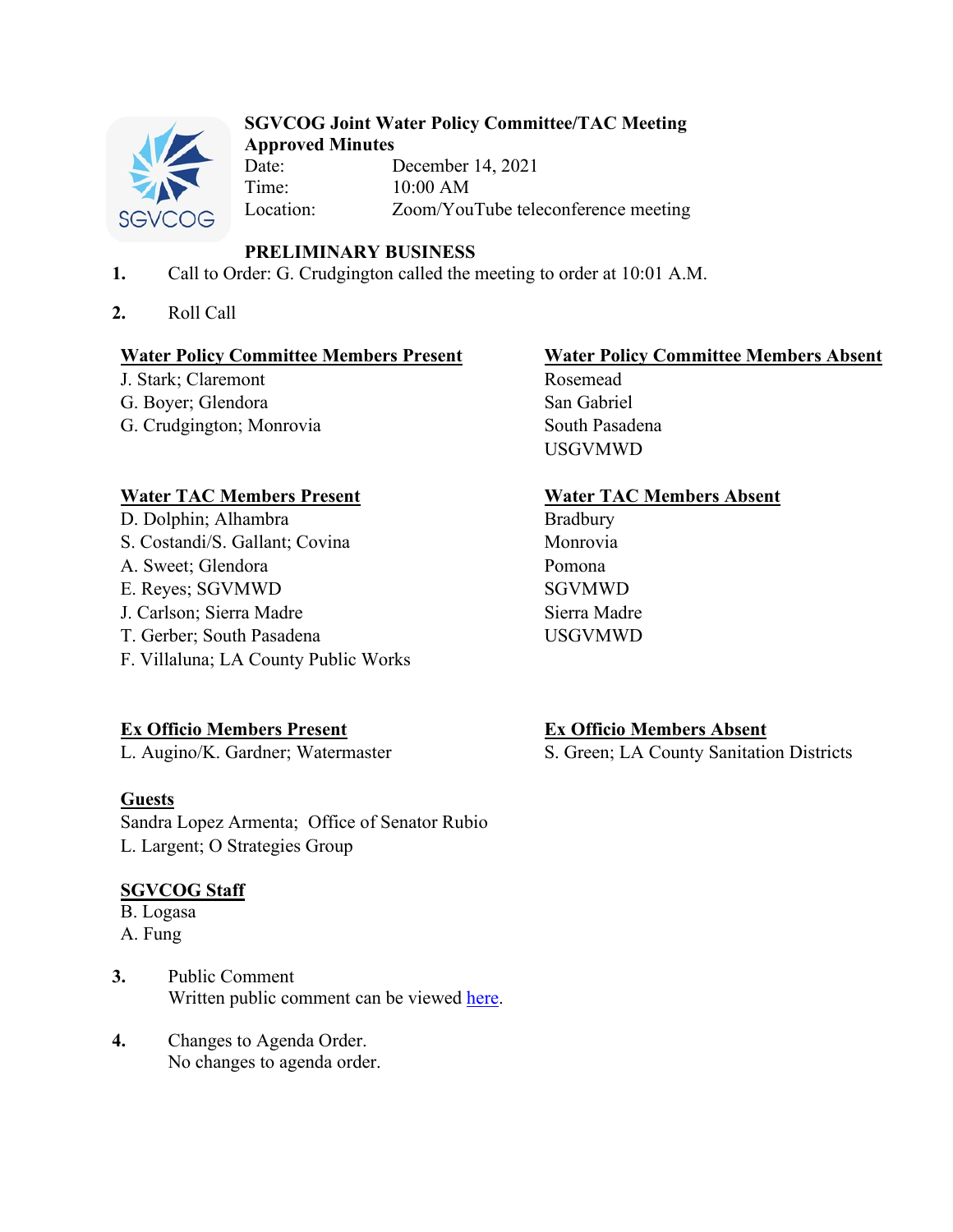

### **SGVCOG Joint Water Policy Committee/TAC Meeting Approved Minutes**

Date: December 14, 2021 Time: 10:00 AM Location: Zoom/YouTube teleconference meeting

# **PRELIMINARY BUSINESS**

- **1.** Call to Order: G. Crudgington called the meeting to order at 10:01 A.M.
- **2.** Roll Call

J. Stark; Claremont G. Boyer; Glendora San Gabriel G. Crudgington; Monrovia South Pasadena

## **Water TAC Members Present Water TAC Members Absent**

- D. Dolphin; Alhambra Bradbury
- S. Costandi/S. Gallant; Covina Monrovia
- A. Sweet; Glendora Pomona
- E. Reyes; SGVMWD SGVMWD
- J. Carlson: Sierra Madre Sierra Madre
- T. Gerber; South Pasadena USGVMWD
- F. Villaluna; LA County Public Works

**Ex Officio Members Present**<br> **Ex Officio Members Absent**<br> **Ex Officio Members Absent**<br> **Ex Officio Members Absent**<br> **Ex Officio Members Absent**<br> **Ex Officio Members Absent** 

# **Guests**

Sandra Lopez Armenta; Office of Senator Rubio L. Largent; O Strategies Group

# **SGVCOG Staff**

B. Logasa A. Fung

- **3.** Public Comment Written public comment can be viewed [here.](https://drive.google.com/file/d/1rMXAKtzr7p8PW3SmRWjeLHeHoHA19wB1/view?usp=sharing)
- **4.** Changes to Agenda Order. No changes to agenda order.

# **Water Policy Committee Members Present**<br> **Water Policy Committee Members Absent**<br> **Rosemead**

USGVMWD

S. Green; LA County Sanitation Districts